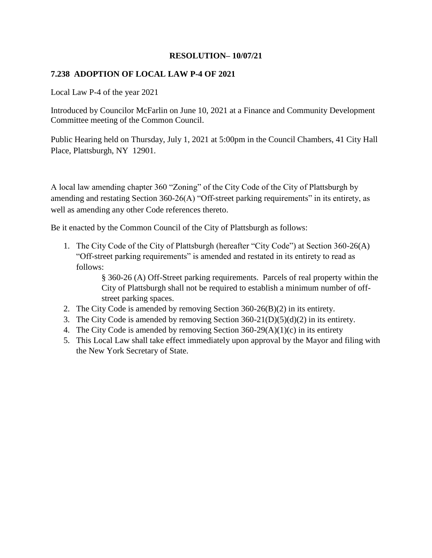## **7.238 ADOPTION OF LOCAL LAW P-4 OF 2021**

Local Law P-4 of the year 2021

Introduced by Councilor McFarlin on June 10, 2021 at a Finance and Community Development Committee meeting of the Common Council.

Public Hearing held on Thursday, July 1, 2021 at 5:00pm in the Council Chambers, 41 City Hall Place, Plattsburgh, NY 12901.

A local law amending chapter 360 "Zoning" of the City Code of the City of Plattsburgh by amending and restating Section 360-26(A) "Off-street parking requirements" in its entirety, as well as amending any other Code references thereto.

Be it enacted by the Common Council of the City of Plattsburgh as follows:

1. The City Code of the City of Plattsburgh (hereafter "City Code") at Section 360-26(A) "Off-street parking requirements" is amended and restated in its entirety to read as follows:

> § 360-26 (A) Off-Street parking requirements. Parcels of real property within the City of Plattsburgh shall not be required to establish a minimum number of offstreet parking spaces.

- 2. The City Code is amended by removing Section 360-26(B)(2) in its entirety.
- 3. The City Code is amended by removing Section 360-21(D)(5)(d)(2) in its entirety.
- 4. The City Code is amended by removing Section 360-29(A)(1)(c) in its entirety
- 5. This Local Law shall take effect immediately upon approval by the Mayor and filing with the New York Secretary of State.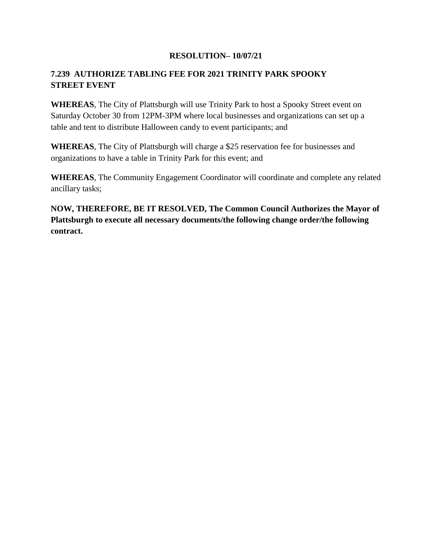# **7.239 AUTHORIZE TABLING FEE FOR 2021 TRINITY PARK SPOOKY STREET EVENT**

**WHEREAS**, The City of Plattsburgh will use Trinity Park to host a Spooky Street event on Saturday October 30 from 12PM-3PM where local businesses and organizations can set up a table and tent to distribute Halloween candy to event participants; and

**WHEREAS**, The City of Plattsburgh will charge a \$25 reservation fee for businesses and organizations to have a table in Trinity Park for this event; and

**WHEREAS**, The Community Engagement Coordinator will coordinate and complete any related ancillary tasks;

**NOW, THEREFORE, BE IT RESOLVED, The Common Council Authorizes the Mayor of Plattsburgh to execute all necessary documents/the following change order/the following contract.**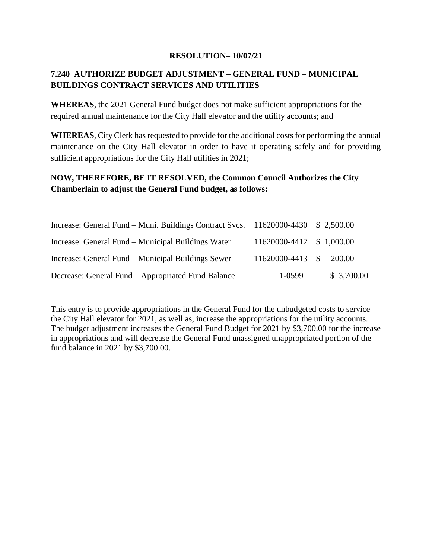# **7.240 AUTHORIZE BUDGET ADJUSTMENT – GENERAL FUND – MUNICIPAL BUILDINGS CONTRACT SERVICES AND UTILITIES**

**WHEREAS**, the 2021 General Fund budget does not make sufficient appropriations for the required annual maintenance for the City Hall elevator and the utility accounts; and

**WHEREAS**, City Clerk has requested to provide for the additional costs for performing the annual maintenance on the City Hall elevator in order to have it operating safely and for providing sufficient appropriations for the City Hall utilities in 2021;

## **NOW, THEREFORE, BE IT RESOLVED, the Common Council Authorizes the City Chamberlain to adjust the General Fund budget, as follows:**

| Increase: General Fund – Muni. Buildings Contract Svcs. 11620000-4430 \$ 2,500.00 |                          |            |
|-----------------------------------------------------------------------------------|--------------------------|------------|
| Increase: General Fund – Municipal Buildings Water                                | 11620000-4412 \$1,000.00 |            |
| Increase: General Fund – Municipal Buildings Sewer                                | 11620000-4413 \$ 200.00  |            |
| Decrease: General Fund – Appropriated Fund Balance                                | 1-0599                   | \$3,700.00 |

This entry is to provide appropriations in the General Fund for the unbudgeted costs to service the City Hall elevator for 2021, as well as, increase the appropriations for the utility accounts. The budget adjustment increases the General Fund Budget for 2021 by \$3,700.00 for the increase in appropriations and will decrease the General Fund unassigned unappropriated portion of the fund balance in 2021 by \$3,700.00.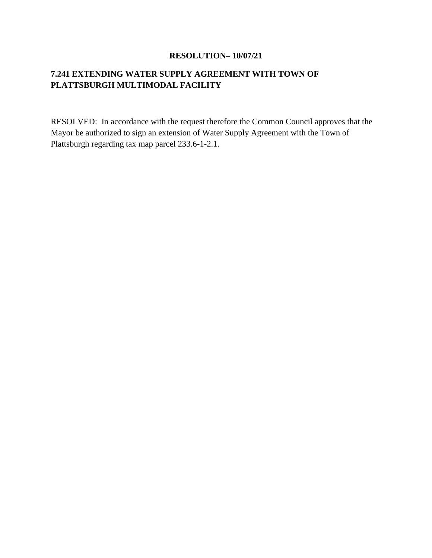# **7.241 EXTENDING WATER SUPPLY AGREEMENT WITH TOWN OF PLATTSBURGH MULTIMODAL FACILITY**

RESOLVED: In accordance with the request therefore the Common Council approves that the Mayor be authorized to sign an extension of Water Supply Agreement with the Town of Plattsburgh regarding tax map parcel 233.6-1-2.1.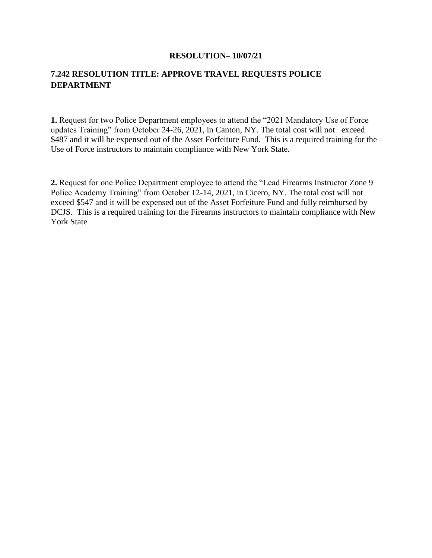## **7.242 RESOLUTION TITLE: APPROVE TRAVEL REQUESTS POLICE DEPARTMENT**

**1.** Request for two Police Department employees to attend the "2021 Mandatory Use of Force updates Training" from October 24-26, 2021, in Canton, NY. The total cost will not exceed \$487 and it will be expensed out of the Asset Forfeiture Fund. This is a required training for the Use of Force instructors to maintain compliance with New York State.

**2.** Request for one Police Department employee to attend the "Lead Firearms Instructor Zone 9 Police Academy Training" from October 12-14, 2021, in Cicero, NY. The total cost will not exceed \$547 and it will be expensed out of the Asset Forfeiture Fund and fully reimbursed by DCJS. This is a required training for the Firearms instructors to maintain compliance with New York State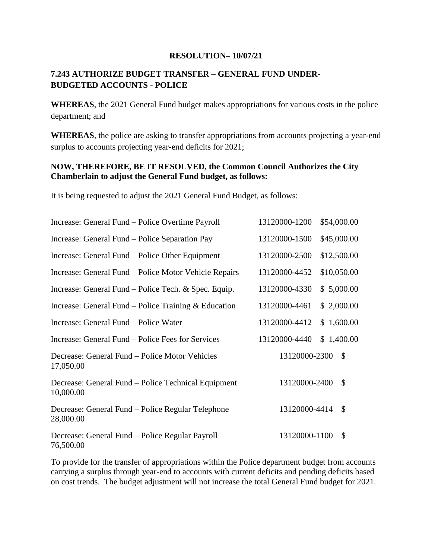## **7.243 AUTHORIZE BUDGET TRANSFER – GENERAL FUND UNDER-BUDGETED ACCOUNTS - POLICE**

**WHEREAS**, the 2021 General Fund budget makes appropriations for various costs in the police department; and

**WHEREAS**, the police are asking to transfer appropriations from accounts projecting a year-end surplus to accounts projecting year-end deficits for 2021;

## **NOW, THEREFORE, BE IT RESOLVED, the Common Council Authorizes the City Chamberlain to adjust the General Fund budget, as follows:**

It is being requested to adjust the 2021 General Fund Budget, as follows:

| Increase: General Fund – Police Overtime Payroll                 | 13120000-1200<br>\$54,000.00   |
|------------------------------------------------------------------|--------------------------------|
| Increase: General Fund – Police Separation Pay                   | 13120000-1500<br>\$45,000.00   |
| Increase: General Fund – Police Other Equipment                  | 13120000-2500<br>\$12,500.00   |
| Increase: General Fund – Police Motor Vehicle Repairs            | \$10,050.00<br>13120000-4452   |
| Increase: General Fund – Police Tech. $&$ Spec. Equip.           | 13120000-4330<br>\$5,000.00    |
| Increase: General Fund – Police Training $& Education$           | 13120000-4461<br>\$2,000.00    |
| Increase: General Fund – Police Water                            | 13120000-4412<br>\$1,600.00    |
| Increase: General Fund – Police Fees for Services                | 13120000-4440<br>\$1,400.00    |
| Decrease: General Fund – Police Motor Vehicles<br>17,050.00      | 13120000-2300<br>$\mathcal{S}$ |
| Decrease: General Fund – Police Technical Equipment<br>10,000.00 | $\mathcal{S}$<br>13120000-2400 |
| Decrease: General Fund – Police Regular Telephone<br>28,000.00   | 13120000-4414<br>\$            |
| Decrease: General Fund – Police Regular Payroll<br>76,500.00     | 13120000-1100<br>$\mathcal{S}$ |

To provide for the transfer of appropriations within the Police department budget from accounts carrying a surplus through year-end to accounts with current deficits and pending deficits based on cost trends. The budget adjustment will not increase the total General Fund budget for 2021.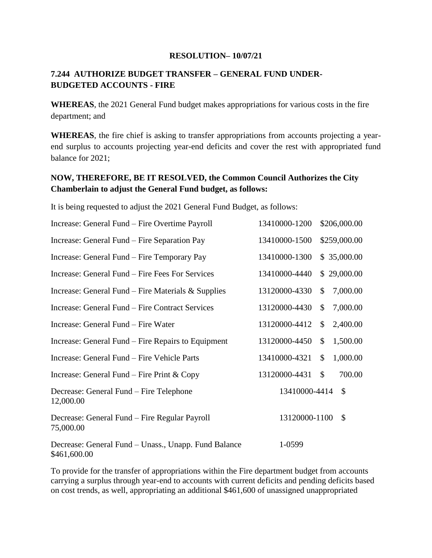## **7.244 AUTHORIZE BUDGET TRANSFER – GENERAL FUND UNDER-BUDGETED ACCOUNTS - FIRE**

**WHEREAS**, the 2021 General Fund budget makes appropriations for various costs in the fire department; and

**WHEREAS**, the fire chief is asking to transfer appropriations from accounts projecting a yearend surplus to accounts projecting year-end deficits and cover the rest with appropriated fund balance for 2021;

## **NOW, THEREFORE, BE IT RESOLVED, the Common Council Authorizes the City Chamberlain to adjust the General Fund budget, as follows:**

It is being requested to adjust the 2021 General Fund Budget, as follows:

| Increase: General Fund – Fire Overtime Payroll                       | 13410000-1200 |               | \$206,000.00  |
|----------------------------------------------------------------------|---------------|---------------|---------------|
| Increase: General Fund – Fire Separation Pay                         | 13410000-1500 |               | \$259,000.00  |
| Increase: General Fund – Fire Temporary Pay                          | 13410000-1300 |               | \$35,000.00   |
| Increase: General Fund – Fire Fees For Services                      | 13410000-4440 |               | \$29,000.00   |
| Increase: General Fund – Fire Materials $&$ Supplies                 | 13120000-4330 | \$            | 7,000.00      |
| Increase: General Fund – Fire Contract Services                      | 13120000-4430 | \$            | 7,000.00      |
| Increase: General Fund – Fire Water                                  | 13120000-4412 | \$            | 2,400.00      |
| Increase: General Fund – Fire Repairs to Equipment                   | 13120000-4450 | \$            | 1,500.00      |
| Increase: General Fund – Fire Vehicle Parts                          | 13410000-4321 | $\mathcal{S}$ | 1,000.00      |
| Increase: General Fund – Fire Print $& \text{Copy}$                  | 13120000-4431 | $\mathcal{S}$ | 700.00        |
| Decrease: General Fund – Fire Telephone<br>12,000.00                 | 13410000-4414 |               | $\mathcal{S}$ |
| Decrease: General Fund – Fire Regular Payroll<br>75,000.00           | 13120000-1100 |               | \$            |
| Decrease: General Fund – Unass., Unapp. Fund Balance<br>\$461,600.00 | 1-0599        |               |               |

To provide for the transfer of appropriations within the Fire department budget from accounts carrying a surplus through year-end to accounts with current deficits and pending deficits based on cost trends, as well, appropriating an additional \$461,600 of unassigned unappropriated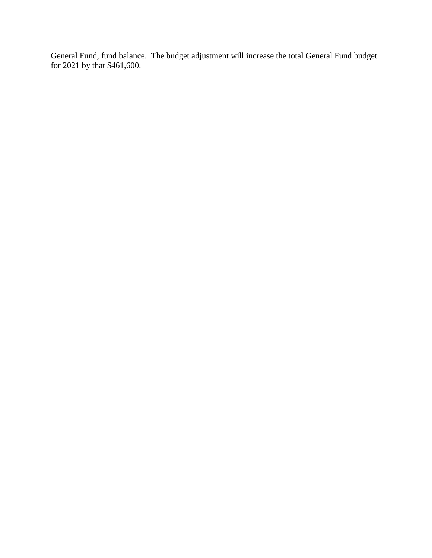General Fund, fund balance. The budget adjustment will increase the total General Fund budget for 2021 by that \$461,600.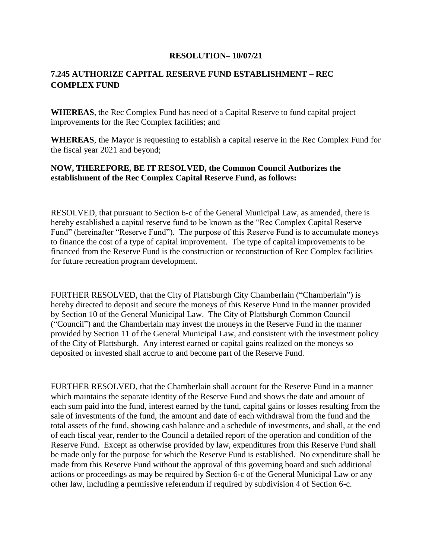## **7.245 AUTHORIZE CAPITAL RESERVE FUND ESTABLISHMENT – REC COMPLEX FUND**

**WHEREAS**, the Rec Complex Fund has need of a Capital Reserve to fund capital project improvements for the Rec Complex facilities; and

**WHEREAS**, the Mayor is requesting to establish a capital reserve in the Rec Complex Fund for the fiscal year 2021 and beyond;

### **NOW, THEREFORE, BE IT RESOLVED, the Common Council Authorizes the establishment of the Rec Complex Capital Reserve Fund, as follows:**

RESOLVED, that pursuant to Section 6-c of the General Municipal Law, as amended, there is hereby established a capital reserve fund to be known as the "Rec Complex Capital Reserve Fund" (hereinafter "Reserve Fund"). The purpose of this Reserve Fund is to accumulate moneys to finance the cost of a type of capital improvement. The type of capital improvements to be financed from the Reserve Fund is the construction or reconstruction of Rec Complex facilities for future recreation program development.

FURTHER RESOLVED, that the City of Plattsburgh City Chamberlain ("Chamberlain") is hereby directed to deposit and secure the moneys of this Reserve Fund in the manner provided by Section 10 of the General Municipal Law. The City of Plattsburgh Common Council ("Council") and the Chamberlain may invest the moneys in the Reserve Fund in the manner provided by Section 11 of the General Municipal Law, and consistent with the investment policy of the City of Plattsburgh. Any interest earned or capital gains realized on the moneys so deposited or invested shall accrue to and become part of the Reserve Fund.

FURTHER RESOLVED, that the Chamberlain shall account for the Reserve Fund in a manner which maintains the separate identity of the Reserve Fund and shows the date and amount of each sum paid into the fund, interest earned by the fund, capital gains or losses resulting from the sale of investments of the fund, the amount and date of each withdrawal from the fund and the total assets of the fund, showing cash balance and a schedule of investments, and shall, at the end of each fiscal year, render to the Council a detailed report of the operation and condition of the Reserve Fund. Except as otherwise provided by law, expenditures from this Reserve Fund shall be made only for the purpose for which the Reserve Fund is established. No expenditure shall be made from this Reserve Fund without the approval of this governing board and such additional actions or proceedings as may be required by Section 6-c of the General Municipal Law or any other law, including a permissive referendum if required by subdivision 4 of Section 6-c.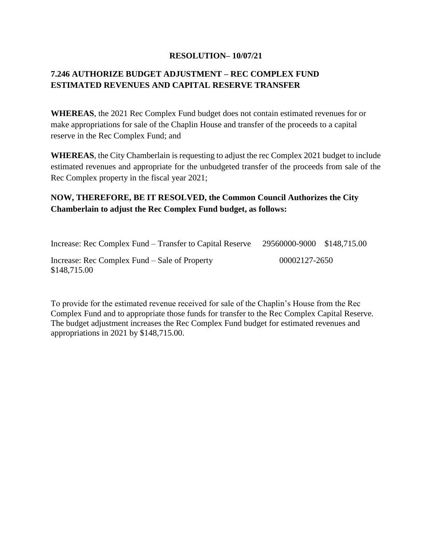# **7.246 AUTHORIZE BUDGET ADJUSTMENT – REC COMPLEX FUND ESTIMATED REVENUES AND CAPITAL RESERVE TRANSFER**

**WHEREAS**, the 2021 Rec Complex Fund budget does not contain estimated revenues for or make appropriations for sale of the Chaplin House and transfer of the proceeds to a capital reserve in the Rec Complex Fund; and

**WHEREAS**, the City Chamberlain is requesting to adjust the rec Complex 2021 budget to include estimated revenues and appropriate for the unbudgeted transfer of the proceeds from sale of the Rec Complex property in the fiscal year 2021;

## **NOW, THEREFORE, BE IT RESOLVED, the Common Council Authorizes the City Chamberlain to adjust the Rec Complex Fund budget, as follows:**

| Increase: Rec Complex Fund – Transfer to Capital Reserve      | 29560000-9000 \$148,715.00 |  |
|---------------------------------------------------------------|----------------------------|--|
| Increase: Rec Complex Fund – Sale of Property<br>\$148,715.00 | 00002127-2650              |  |

To provide for the estimated revenue received for sale of the Chaplin's House from the Rec Complex Fund and to appropriate those funds for transfer to the Rec Complex Capital Reserve. The budget adjustment increases the Rec Complex Fund budget for estimated revenues and appropriations in 2021 by \$148,715.00.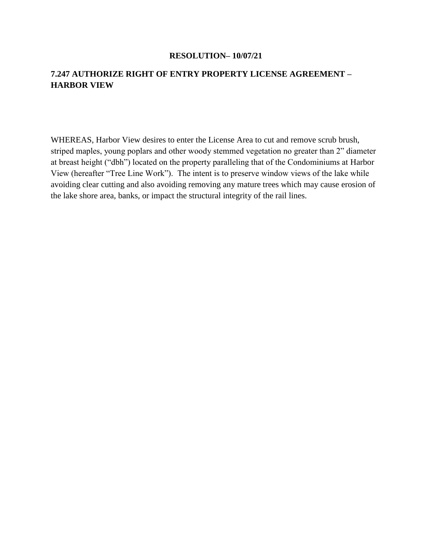## **7.247 AUTHORIZE RIGHT OF ENTRY PROPERTY LICENSE AGREEMENT – HARBOR VIEW**

WHEREAS, Harbor View desires to enter the License Area to cut and remove scrub brush, striped maples, young poplars and other woody stemmed vegetation no greater than 2" diameter at breast height ("dbh") located on the property paralleling that of the Condominiums at Harbor View (hereafter "Tree Line Work"). The intent is to preserve window views of the lake while avoiding clear cutting and also avoiding removing any mature trees which may cause erosion of the lake shore area, banks, or impact the structural integrity of the rail lines.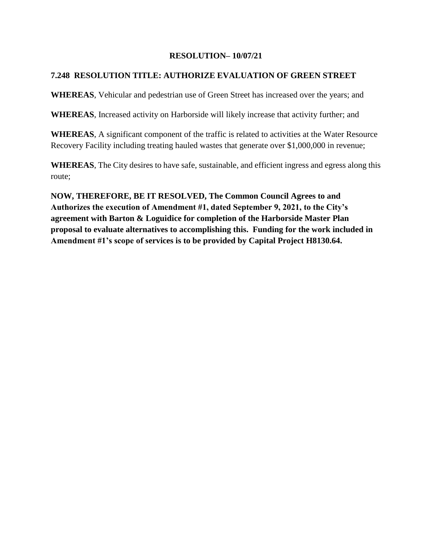## **7.248 RESOLUTION TITLE: AUTHORIZE EVALUATION OF GREEN STREET**

**WHEREAS**, Vehicular and pedestrian use of Green Street has increased over the years; and

**WHEREAS**, Increased activity on Harborside will likely increase that activity further; and

**WHEREAS**, A significant component of the traffic is related to activities at the Water Resource Recovery Facility including treating hauled wastes that generate over \$1,000,000 in revenue;

**WHEREAS**, The City desires to have safe, sustainable, and efficient ingress and egress along this route;

**NOW, THEREFORE, BE IT RESOLVED, The Common Council Agrees to and Authorizes the execution of Amendment #1, dated September 9, 2021, to the City's agreement with Barton & Loguidice for completion of the Harborside Master Plan proposal to evaluate alternatives to accomplishing this. Funding for the work included in Amendment #1's scope of services is to be provided by Capital Project H8130.64.**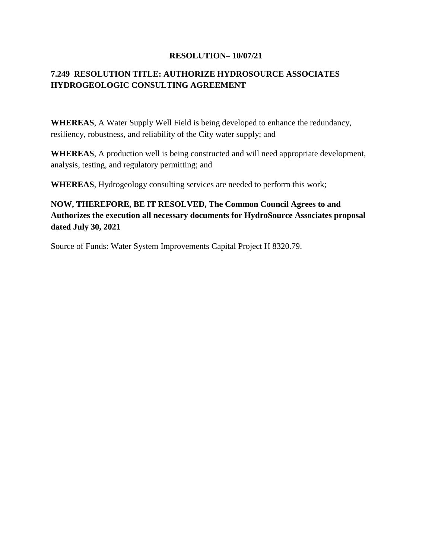# **7.249 RESOLUTION TITLE: AUTHORIZE HYDROSOURCE ASSOCIATES HYDROGEOLOGIC CONSULTING AGREEMENT**

**WHEREAS**, A Water Supply Well Field is being developed to enhance the redundancy, resiliency, robustness, and reliability of the City water supply; and

**WHEREAS**, A production well is being constructed and will need appropriate development, analysis, testing, and regulatory permitting; and

**WHEREAS**, Hydrogeology consulting services are needed to perform this work;

# **NOW, THEREFORE, BE IT RESOLVED, The Common Council Agrees to and Authorizes the execution all necessary documents for HydroSource Associates proposal dated July 30, 2021**

Source of Funds: Water System Improvements Capital Project H 8320.79.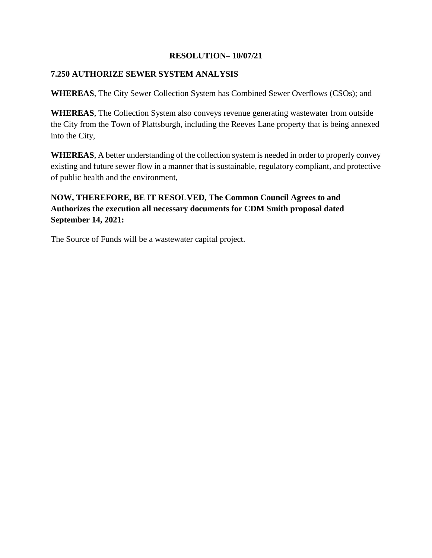### **7.250 AUTHORIZE SEWER SYSTEM ANALYSIS**

**WHEREAS**, The City Sewer Collection System has Combined Sewer Overflows (CSOs); and

**WHEREAS**, The Collection System also conveys revenue generating wastewater from outside the City from the Town of Plattsburgh, including the Reeves Lane property that is being annexed into the City,

**WHEREAS**, A better understanding of the collection system is needed in order to properly convey existing and future sewer flow in a manner that is sustainable, regulatory compliant, and protective of public health and the environment,

# **NOW, THEREFORE, BE IT RESOLVED, The Common Council Agrees to and Authorizes the execution all necessary documents for CDM Smith proposal dated September 14, 2021:**

The Source of Funds will be a wastewater capital project.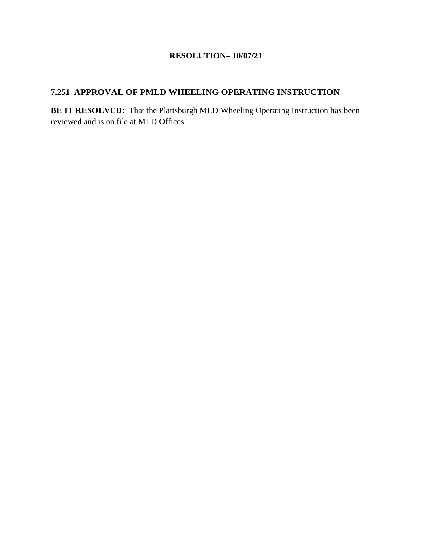## **7.251 APPROVAL OF PMLD WHEELING OPERATING INSTRUCTION**

**BE IT RESOLVED:** That the Plattsburgh MLD Wheeling Operating Instruction has been reviewed and is on file at MLD Offices.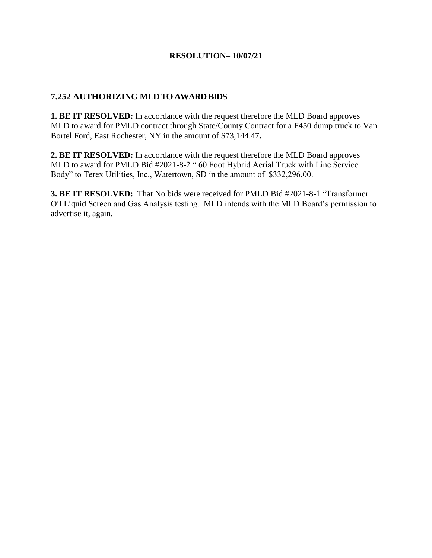## **7.252 AUTHORIZING MLD TO AWARD BIDS**

**1. BE IT RESOLVED:** In accordance with the request therefore the MLD Board approves MLD to award for PMLD contract through State/County Contract for a F450 dump truck to Van Bortel Ford, East Rochester, NY in the amount of \$73,144.47**.**

**2. BE IT RESOLVED:** In accordance with the request therefore the MLD Board approves MLD to award for PMLD Bid #2021-8-2 " 60 Foot Hybrid Aerial Truck with Line Service Body" to Terex Utilities, Inc., Watertown, SD in the amount of \$332,296.00.

**3. BE IT RESOLVED:** That No bids were received for PMLD Bid #2021-8-1 "Transformer Oil Liquid Screen and Gas Analysis testing. MLD intends with the MLD Board's permission to advertise it, again.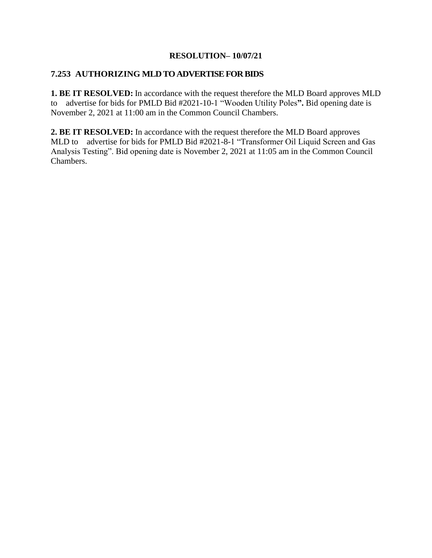### **7.253 AUTHORIZING MLD TO ADVERTISE FOR BIDS**

**1. BE IT RESOLVED:** In accordance with the request therefore the MLD Board approves MLD to advertise for bids for PMLD Bid #2021-10-1 "Wooden Utility Poles**".** Bid opening date is November 2, 2021 at 11:00 am in the Common Council Chambers.

**2. BE IT RESOLVED:** In accordance with the request therefore the MLD Board approves MLD to advertise for bids for PMLD Bid #2021-8-1 "Transformer Oil Liquid Screen and Gas Analysis Testing". Bid opening date is November 2, 2021 at 11:05 am in the Common Council Chambers.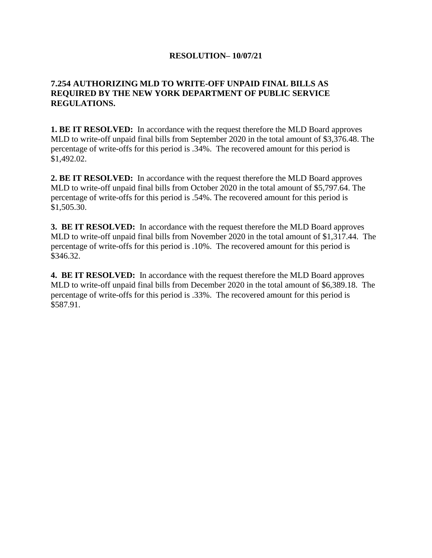## **7.254 AUTHORIZING MLD TO WRITE-OFF UNPAID FINAL BILLS AS REQUIRED BY THE NEW YORK DEPARTMENT OF PUBLIC SERVICE REGULATIONS.**

**1. BE IT RESOLVED:** In accordance with the request therefore the MLD Board approves MLD to write-off unpaid final bills from September 2020 in the total amount of \$3,376.48. The percentage of write-offs for this period is .34%. The recovered amount for this period is \$1,492.02.

**2. BE IT RESOLVED:** In accordance with the request therefore the MLD Board approves MLD to write-off unpaid final bills from October 2020 in the total amount of \$5,797.64. The percentage of write-offs for this period is .54%. The recovered amount for this period is \$1,505.30.

**3. BE IT RESOLVED:** In accordance with the request therefore the MLD Board approves MLD to write-off unpaid final bills from November 2020 in the total amount of \$1,317.44. The percentage of write-offs for this period is .10%. The recovered amount for this period is \$346.32.

**4. BE IT RESOLVED:** In accordance with the request therefore the MLD Board approves MLD to write-off unpaid final bills from December 2020 in the total amount of \$6,389.18. The percentage of write-offs for this period is .33%. The recovered amount for this period is \$587.91.